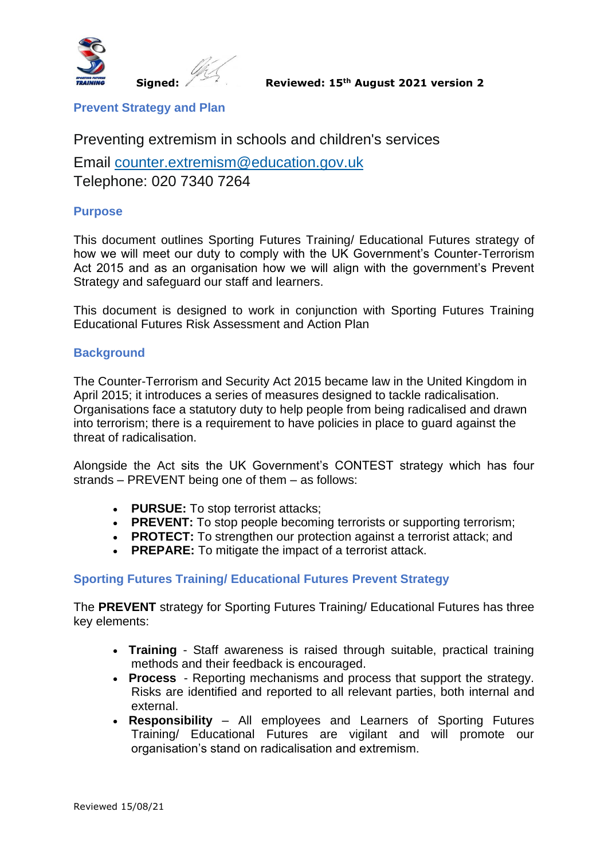

**Prevent Strategy and Plan**

Preventing extremism in schools and children's services

Email [counter.extremism@education.gov.uk](mailto:counter.extremism@education.gov.uk) Telephone: 020 7340 7264

### **Purpose**

This document outlines Sporting Futures Training/ Educational Futures strategy of how we will meet our duty to comply with the UK Government's Counter-Terrorism Act 2015 and as an organisation how we will align with the government's Prevent Strategy and safeguard our staff and learners.

This document is designed to work in conjunction with Sporting Futures Training Educational Futures Risk Assessment and Action Plan

#### **Background**

The Counter-Terrorism and Security Act 2015 became law in the United Kingdom in April 2015; it introduces a series of measures designed to tackle radicalisation. Organisations face a statutory duty to help people from being radicalised and drawn into terrorism; there is a requirement to have policies in place to guard against the threat of radicalisation.

Alongside the Act sits the UK Government's CONTEST strategy which has four strands – PREVENT being one of them – as follows:

- **PURSUE:** To stop terrorist attacks;
- **PREVENT:** To stop people becoming terrorists or supporting terrorism;
- **PROTECT:** To strengthen our protection against a terrorist attack; and
- **PREPARE:** To mitigate the impact of a terrorist attack.

### **Sporting Futures Training/ Educational Futures Prevent Strategy**

The **PREVENT** strategy for Sporting Futures Training/ Educational Futures has three key elements:

- **Training**  Staff awareness is raised through suitable, practical training methods and their feedback is encouraged.
- **Process**  Reporting mechanisms and process that support the strategy. Risks are identified and reported to all relevant parties, both internal and external.
- **Responsibility**  All employees and Learners of Sporting Futures Training/ Educational Futures are vigilant and will promote our organisation's stand on radicalisation and extremism.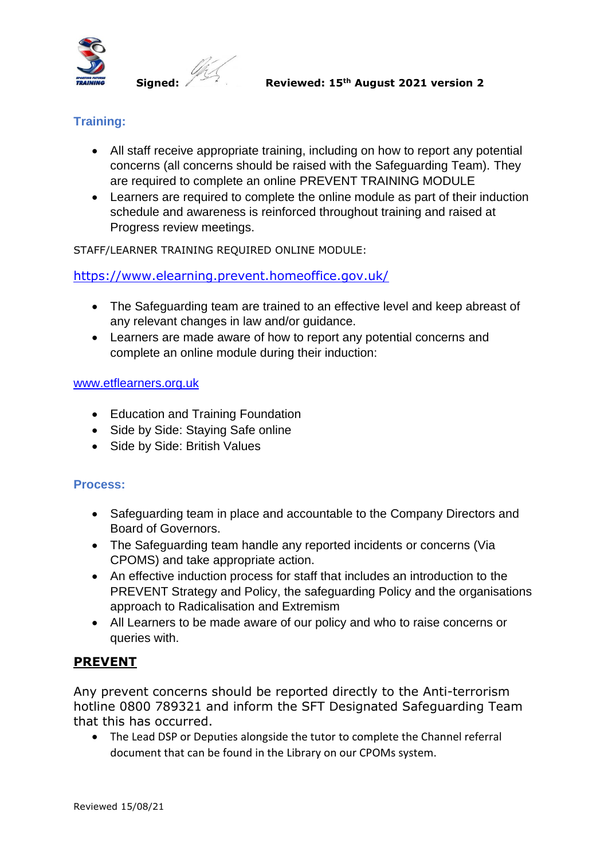

# **Training:**

- All staff receive appropriate training, including on how to report any potential concerns (all concerns should be raised with the Safeguarding Team). They are required to complete an online PREVENT TRAINING MODULE
- Learners are required to complete the online module as part of their induction schedule and awareness is reinforced throughout training and raised at Progress review meetings.

STAFF/LEARNER TRAINING REQUIRED ONLINE MODULE:

## <https://www.elearning.prevent.homeoffice.gov.uk/>

- The Safeguarding team are trained to an effective level and keep abreast of any relevant changes in law and/or guidance.
- Learners are made aware of how to report any potential concerns and complete an online module during their induction:

#### [www.etflearners.org.uk](http://www.etflearners.org.uk/)

- Education and Training Foundation
- Side by Side: Staying Safe online
- Side by Side: British Values

### **Process:**

- Safeguarding team in place and accountable to the Company Directors and Board of Governors.
- The Safeguarding team handle any reported incidents or concerns (Via CPOMS) and take appropriate action.
- An effective induction process for staff that includes an introduction to the PREVENT Strategy and Policy, the safeguarding Policy and the organisations approach to Radicalisation and Extremism
- All Learners to be made aware of our policy and who to raise concerns or queries with.

# **PREVENT**

Any prevent concerns should be reported directly to the Anti-terrorism hotline 0800 789321 and inform the SFT Designated Safeguarding Team that this has occurred.

• The Lead DSP or Deputies alongside the tutor to complete the Channel referral document that can be found in the Library on our CPOMs system.